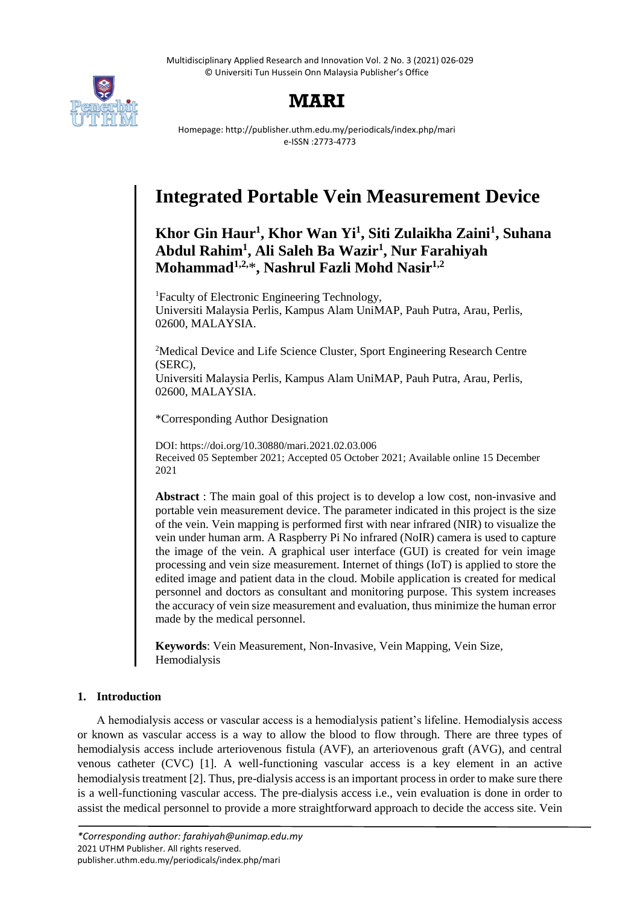

# **MARI**

Homepage: http://publisher.uthm.edu.my/periodicals/index.php/mari e-ISSN :2773-4773

# **Integrated Portable Vein Measurement Device**

# **Khor Gin Haur<sup>1</sup> , Khor Wan Yi<sup>1</sup> , Siti Zulaikha Zaini<sup>1</sup> , Suhana Abdul Rahim<sup>1</sup> , Ali Saleh Ba Wazir<sup>1</sup> , Nur Farahiyah Mohammad1,2,**\***, Nashrul Fazli Mohd Nasir1,2**

<sup>1</sup>Faculty of Electronic Engineering Technology, Universiti Malaysia Perlis, Kampus Alam UniMAP, Pauh Putra, Arau, Perlis, 02600, MALAYSIA.

<sup>2</sup>Medical Device and Life Science Cluster, Sport Engineering Research Centre (SERC),

Universiti Malaysia Perlis, Kampus Alam UniMAP, Pauh Putra, Arau, Perlis, 02600, MALAYSIA.

\*Corresponding Author Designation

DOI: https://doi.org/10.30880/mari.2021.02.03.006 Received 05 September 2021; Accepted 05 October 2021; Available online 15 December 2021

**Abstract** : The main goal of this project is to develop a low cost, non-invasive and portable vein measurement device. The parameter indicated in this project is the size of the vein. Vein mapping is performed first with near infrared (NIR) to visualize the vein under human arm. A Raspberry Pi No infrared (NoIR) camera is used to capture the image of the vein. A graphical user interface (GUI) is created for vein image processing and vein size measurement. Internet of things (IoT) is applied to store the edited image and patient data in the cloud. Mobile application is created for medical personnel and doctors as consultant and monitoring purpose. This system increases the accuracy of vein size measurement and evaluation, thus minimize the human error made by the medical personnel.

**Keywords**: Vein Measurement, Non-Invasive, Vein Mapping, Vein Size, Hemodialysis

# **1. Introduction**

A hemodialysis access or vascular access is a hemodialysis patient's lifeline. Hemodialysis access or known as vascular access is a way to allow the blood to flow through. There are three types of hemodialysis access include arteriovenous fistula (AVF), an arteriovenous graft (AVG), and central venous catheter (CVC) [1]. A well-functioning vascular access is a key element in an active hemodialysis treatment [2]. Thus, pre-dialysis access is an important process in order to make sure there is a well-functioning vascular access. The pre-dialysis access i.e., vein evaluation is done in order to assist the medical personnel to provide a more straightforward approach to decide the access site. Vein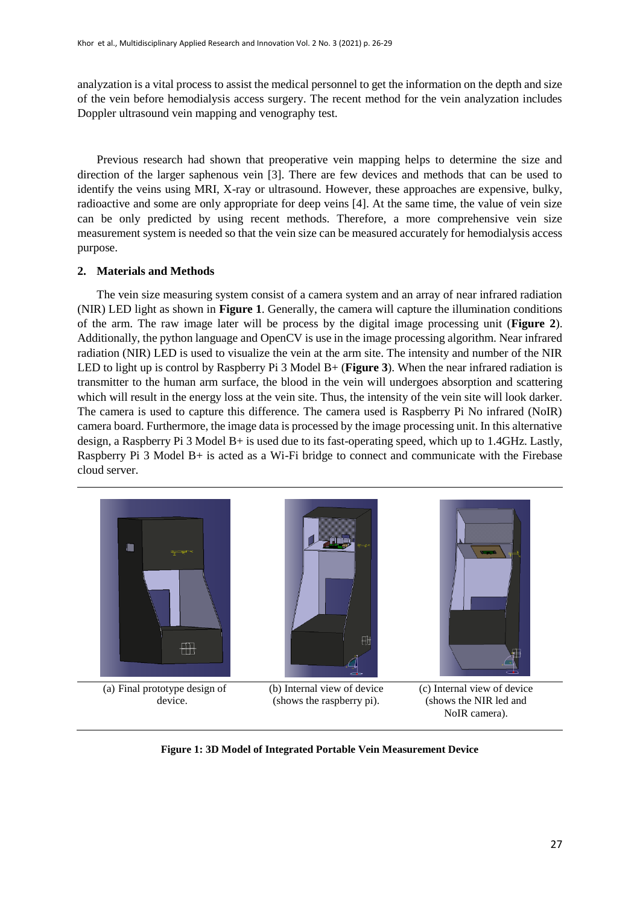analyzation is a vital process to assist the medical personnel to get the information on the depth and size of the vein before hemodialysis access surgery. The recent method for the vein analyzation includes Doppler ultrasound vein mapping and venography test.

Previous research had shown that preoperative vein mapping helps to determine the size and direction of the larger saphenous vein [3]. There are few devices and methods that can be used to identify the veins using MRI, X-ray or ultrasound. However, these approaches are expensive, bulky, radioactive and some are only appropriate for deep veins [4]. At the same time, the value of vein size can be only predicted by using recent methods. Therefore, a more comprehensive vein size measurement system is needed so that the vein size can be measured accurately for hemodialysis access purpose.

## **2. Materials and Methods**

The vein size measuring system consist of a camera system and an array of near infrared radiation (NIR) LED light as shown in **Figure 1**. Generally, the camera will capture the illumination conditions of the arm. The raw image later will be process by the digital image processing unit (**Figure 2**). Additionally, the python language and OpenCV is use in the image processing algorithm. Near infrared radiation (NIR) LED is used to visualize the vein at the arm site. The intensity and number of the NIR LED to light up is control by Raspberry Pi 3 Model B+ (**Figure 3**). When the near infrared radiation is transmitter to the human arm surface, the blood in the vein will undergoes absorption and scattering which will result in the energy loss at the vein site. Thus, the intensity of the vein site will look darker. The camera is used to capture this difference. The camera used is Raspberry Pi No infrared (NoIR) camera board. Furthermore, the image data is processed by the image processing unit. In this alternative design, a Raspberry Pi 3 Model B+ is used due to its fast-operating speed, which up to 1.4GHz. Lastly, Raspberry Pi 3 Model B+ is acted as a Wi-Fi bridge to connect and communicate with the Firebase cloud server.



**Figure 1: 3D Model of Integrated Portable Vein Measurement Device**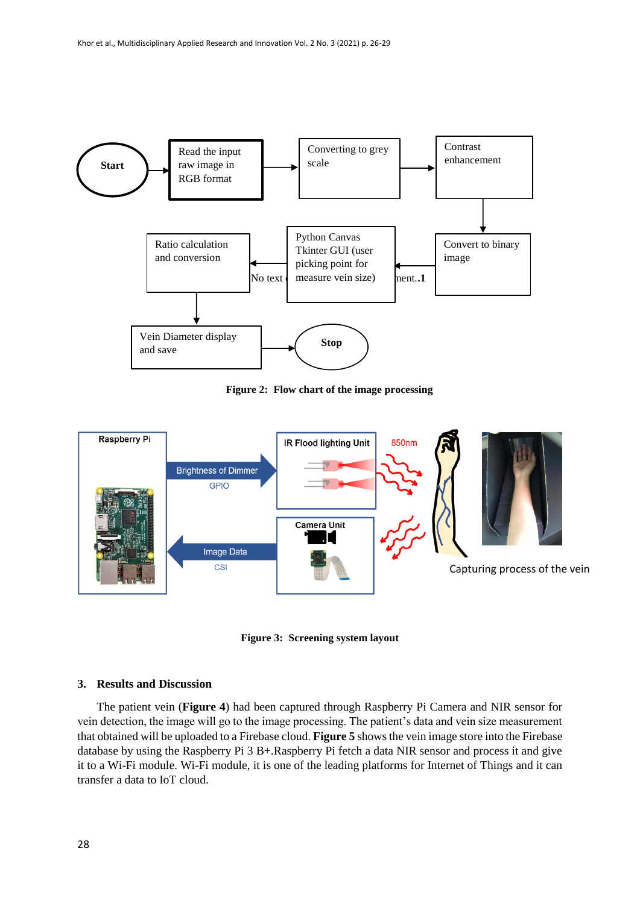

**Figure 2: Flow chart of the image processing**



**Figure 3: Screening system layout**

### **3. Results and Discussion**

The patient vein (**Figure 4**) had been captured through Raspberry Pi Camera and NIR sensor for vein detection, the image will go to the image processing. The patient's data and vein size measurement that obtained will be uploaded to a Firebase cloud. **Figure 5** shows the vein image store into the Firebase database by using the Raspberry Pi 3 B+.Raspberry Pi fetch a data NIR sensor and process it and give it to a Wi-Fi module. Wi-Fi module, it is one of the leading platforms for Internet of Things and it can transfer a data to IoT cloud.